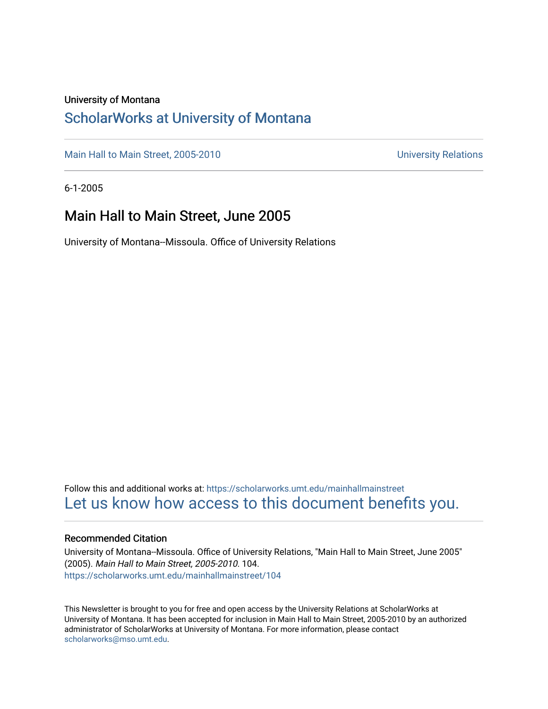### University of Montana

### [ScholarWorks at University of Montana](https://scholarworks.umt.edu/)

[Main Hall to Main Street, 2005-2010](https://scholarworks.umt.edu/mainhallmainstreet) Main Hall to Main Street, 2005-2010

6-1-2005

### Main Hall to Main Street, June 2005

University of Montana--Missoula. Office of University Relations

Follow this and additional works at: [https://scholarworks.umt.edu/mainhallmainstreet](https://scholarworks.umt.edu/mainhallmainstreet?utm_source=scholarworks.umt.edu%2Fmainhallmainstreet%2F104&utm_medium=PDF&utm_campaign=PDFCoverPages) [Let us know how access to this document benefits you.](https://goo.gl/forms/s2rGfXOLzz71qgsB2) 

### Recommended Citation

University of Montana--Missoula. Office of University Relations, "Main Hall to Main Street, June 2005" (2005). Main Hall to Main Street, 2005-2010. 104. [https://scholarworks.umt.edu/mainhallmainstreet/104](https://scholarworks.umt.edu/mainhallmainstreet/104?utm_source=scholarworks.umt.edu%2Fmainhallmainstreet%2F104&utm_medium=PDF&utm_campaign=PDFCoverPages)

This Newsletter is brought to you for free and open access by the University Relations at ScholarWorks at University of Montana. It has been accepted for inclusion in Main Hall to Main Street, 2005-2010 by an authorized administrator of ScholarWorks at University of Montana. For more information, please contact [scholarworks@mso.umt.edu.](mailto:scholarworks@mso.umt.edu)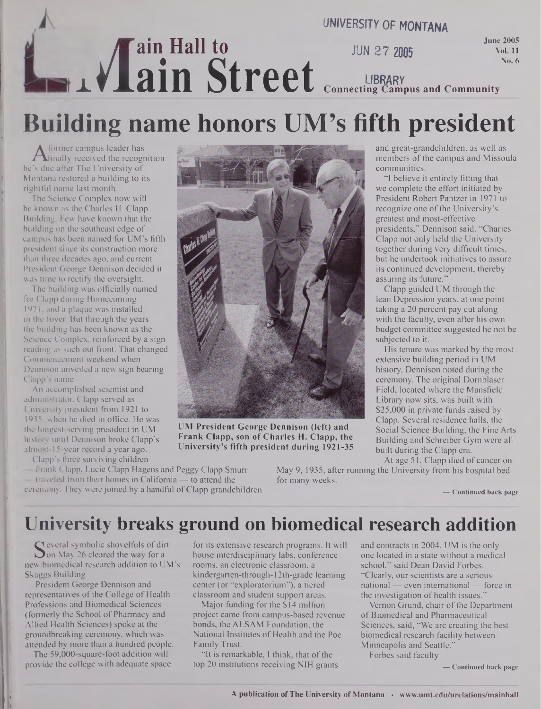## **ain Hall to x**<br>**x** *x***<br><b>din** Street<br> **Connecting Campus and Community UNIVERSITY OF MONTANA June 2005 No. 6 LIBRARY Connecting Campus and Community**

# **Building name honors UM's fifth president**

**A** former campus reader has<br>inally received the recognition<br>is due after The University of Former campus leader has he's due after The University of Montana restored a building to its rightful name last month.

The Science Complex now will be known as the Charles H. Clapp Building. Few have known that the building on the southeast edge of campus has been named for UM's fifth president since its construction more than three decades ago, and current President George Dennison decided it was time to rectify the oversight.

The building was officially named for Clapp during Homecoming 1971, and a plaque was installed in the foyer. But through the years the building has been known as the Science Complex, reinforced by a sign reading as such out front. That changed Commencement weekend when Dennison unveiled a new sign bearing Clapp's name.

An accomplished scientist and administrator, Clapp served as University president from 1921 to 1935, when he died in office. He was the longest-serving president in UM history until Dennison broke Clapp's almost-15-year record a year ago.

Clapp's three surviving children



**UM President George Dennison (left) and Frank Clapp, son of Charles H. Clapp, the University's fifth president during 1921-35**

— Frank Clapp, Lucie Clapp Hagens and Peggy Clapp Smurr  $-$  traveled from their homes in California  $-$  to attend the ceremony. They were joined by a handful ofClapp grandchildren

At age 51, Clapp died of cancer on May 9, 1935, after running the University from his hospital bed for many weeks.

**— Continued back page**

## **University breaks ground on biomedical research addition**

Several symbone shovening of an<br>Son May 26 cleared the way for a<br>w biomedical research addition to U **C** everal symbolic shovelfuls of dirt new biomedical research addition to UM's Skaggs Building.

President George Dennison and representatives of the College of Health Professions and Biomedical Sciences (formerly the School of Pharmacy and Allied Health Sciences) spoke at the groundbreaking ceremony, which was attended by more than a hundred people.

The 59,000-square-foot addition will provide the college with adequate space for its extensive research programs. It will house interdisciplinary labs, conference rooms, an electronic classroom, a kindergarten-through-12th-grade learning center (or "exploratorium"), a tiered classroom and student support areas.

Major funding for the \$14 million project came from campus-based revenue bonds, the ALSAM Foundation, the National Institutes of Health and the Poe Family Tnist.

"It is remarkable, I think, that of the top 20 institutions receiving NIH grants and contracts in 2004, UM is the only one located in a state without a medical school," said Dean David Forbes. "Clearly, our scientists are a serious national — even international — force in the investigation of health issues."

Vernon Grund, chair of the Department of Biomedical and Pharmaceutical Sciences, said, "We are creating the best biomedical research facility between Minneapolis and Seattle."

Forbes said faculty

**— Continued back page**

presidents," Dennison said. "Charles Clapp not only held the University together during very difficult times, but he undertook initiatives to assure its continued development, thereby assuring its future."

Clapp guided UM through the lean Depression years, at one point taking a 20 percent pay cut along with the faculty, even after his own budget committee suggested he not be subjected to it.

and great-grandchildren, as well as members of the campus and Missoula

"I believe it entirely fitting that we complete the effort initiated by President Robert Pantzer in 1971 to recognize one of the University's greatest and most-effective

communities.

His tenure was marked by the most extensive building period in UM history, Dennison noted during the ceremony. The original Domblaser Field, located where the Mansfield Library now sits, was built with \$25,000 in private funds raised by Clapp. Several residence halls, the Social Science Building, the Fine Arts Building and Schreiber Gym were all built during the Clapp era.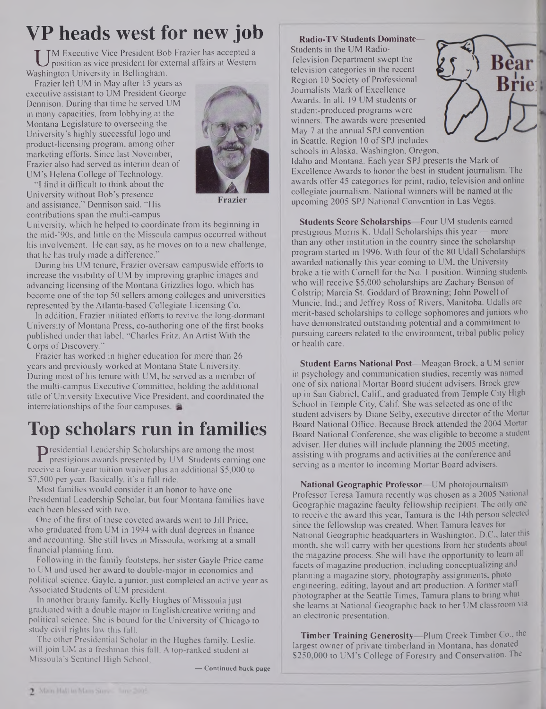# **VP heads west for new job**

UM Executive Vice President Bob Frazi<br>position as vice president for external<br>ashington University in Bellingham. M Executive Vice President Bob Frazier has accepted a position as vice president for external affairs at Western

Frazier left UM in May after 15 years as executive assistant to UM President George Dennison. During that time he served UM in many capacities, from lobbying at the Montana Legislature to overseeing the University's highly successful logo and product-licensing program, among other marketing efforts. Since last November, Frazier also had served as interim dean of UM's Helena College of Technology.

"I find it difficult to think about the University without Bob's presence and assistance," Dennison said. "His contributions span the multi-campus



Frazier

University, which he helped to coordinate from its beginning in the mid-'90s, and little on the Missoula campus occurred without his involvement. He can say, as he moves on to a new challenge, that he has truly made a difference."

During his UM tenure, Frazier oversaw campuswide efforts to increase the visibility of UM by improving graphic images and advancing licensing of the Montana Grizzlies logo, which has become one of the top 50 sellers among colleges and universities represented by the Atlanta-based Collegiate Licensing Co.

In addition, Frazier initiated efforts to revive the long-dormant University of Montana Press, co-authoring one of the first books published under that label, "Charles Fritz, An Artist With the Corps of Discovery."

Frazier has worked in higher education for more than 26 years and previously worked at Montana State University. During most of his tenure with UM, he served as a member of the multi-campus Executive Committee, holding the additional title of University Executive Vice President, and coordinated the interrelationships of the four campuses.

# **Top scholars run in families**

**P** residential Leadership Scholarships are among the most prestigious awards presented by UM. Students earning covive a four-vear tuition waiver plus an additional \$5,000 to prestigious awards presented by UM. Students earning one receive a four-year tuition waiver plus an additional \$5,000 to \$7,500 per year. Basically, it's a full ride.

Most families would consider it an honor to have one Presidential Leadership Scholar, but four Montana families have each been blessed with two.

One of the first of these coveted awards went to Jill Price, who graduated from UM in 1994 with dual degrees in finance and accounting. She still lives in Missoula, working at a small financial planning firm.

Following in the family footsteps, her sister Gayle Price came to UM and used her award to double-major in economics and political science. Gayle, a junior, just completed an active year as Associated Students of UM president.

In another brainy family, Kelly Hughes of Missoula just graduated with a double major in English creative writing and political science. She is bound for the University of Chicago to study civil rights law this fall.

The other Presidential Scholar in the Hughes family, Leslie, will join UM as a freshman this fall. A top-ranked student at Missoula's Sentinel High School,

**— Continued back page**

**Radio-TV Students Dominate—** Students in the UM Radio-Television Department swept the television categories in the recent Region 10 Society of Professional Journalists Mark of Excellence Awards. In all, 19 UM students or student-produced programs were winners. The awards were presented May 7 at the annual SPJ convention in Seattle. Region 10 of SPJ includes schools in Alaska, Washington, Oregon,



Idaho and Montana. Each year SPJ presents the Mark of Excellence Awards to honor the best in student journalism. The awards offer 45 categories for print, radio, television and online collegiate journalism. National winners will be named at the upcoming 2005 SPJ National Convention in Las Vegas.

**Students Score Scholarships—**Four UM students earned prestigious Morris K. Udall Scholarships this year — more than any other institution in the country since the scholarship program started in 1996. With four of the 80 Udall Scholarships awarded nationally this year coming to UM, the University broke a tie with Cornell for the No. <sup>1</sup> position. Winning students who will receive \$5,000 scholarships are Zachary Benson of Colstrip; Marcia St. Goddard of Browning; John Powell of Muncie, Ind.; and Jeffrey Ross of Rivers, Manitoba. Udalls are merit-based scholarships to college sophomores and juniors who have demonstrated outstanding potential and a commitment to pursuing careers related to the environment, tribal public policy or health care.

**Student Earns National Post—**Meagan Brock, a UM senior in psychology and communication studies, recently was named one of six national Mortar Board student advisers. Brock grew up in San Gabriel, Calif., and graduated from Temple City High School in Temple City, Calif. She was selected as one of the student advisers by Diane Selby, executive director of the Mortar Board National Office. Because Brock attended the 2004 Mortar Board National Conference, she was eligible to become a student adviser. Her duties will include planning the 2005 meeting, assisting with programs and activities at the conference and serving as a mentor to incoming Mortar Board advisers.

**National Geographic Professor—**UM photojournalism Professor Teresa Tamura recently was chosen as a 2005 National Geographic magazine faculty fellowship recipient. The only one to receive the award this year, Tamura is the 14th person selected since the fellowship was created. When Tamura leaves for National Geographic headquarters in Washington, D.C., later this month, she will carry with her questions from her students about the magazine process. She will have the opportunity to learn all facets of magazine production, including conceptualizing and planning a magazine story, photography assignments, photo engineering, editing, layout and art production. A former staff photographer at the Seattle Times, Tamura plans to bring what she learns at National Geographic back to her UM classroom via an electronic presentation.

**Timber Training Generosity—**Plum Creek Timber Co., the largest owner of private timberland in Montana, has donated \$250,000 to UM's College of Forestry and Conservation. The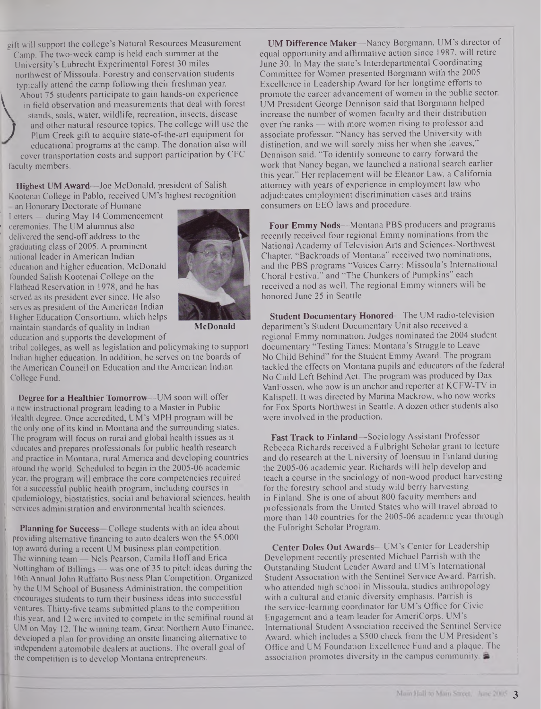gift will support the college's Natural Resources Measurement Camp. The two-week camp is held each summer at the University's Lubrecht Experimental Forest 30 miles northwest of Missoula. Forestry and conservation students typically attend the camp following their freshman year. About 75 students participate to gain hands-on experience About 75 students participate to gain nands-on experience<br>
in field observation and measurements that deal with forest<br>
stands, soils, water, wildlife, recreation, insects, disease **f** and other natural resource topics. The college will use the ) Plum Creek gift to acquire state-of-the-art equipment for educational programs at the camp. The donation also will cover transportation costs and support participation by CFC faculty members.

**Highest UM Award—**Joe McDonald, president of Salish Kootenai College in Pablo, received UM's highest recognition

an Honorary Doctorate of Humane Letters — during May 14 Commencement ceremonies. The UM alumnus also delivered the send-off address to the graduating class of 2005. A prominent national leader in American Indian education and higher education, McDonald founded Salish Kootenai College on the Flathead Reservation in 1978, and he has served as its president ever since. He also serves as president of the American Indian Higher Education Consortium, which helps maintain standards of quality in Indian education and supports the development of



**McDonald**

tribal colleges, as well as legislation and policymaking to support Indian higher education. In addition, he serves on the boards of the American Council on Education and the American Indian College Fund.

**Degree for a Healthier Tomorrow—**UM soon will offer a new instructional program leading to a Master in Public Health degree. Once accredited, UM's MPH program will be the only one of its kind in Montana and the surrounding states. The program will focus on rural and global health issues as it educates and prepares professionals for public health research and practice in Montana, rural America and developing countries around the world. Scheduled to begin in the 2005-06 academic year, the program will embrace the core competencies required for a successful public health program, including courses in epidemiology, biostatistics, social and behavioral sciences, health services administration and environmental health sciences.

**Planning for Success—**College students with an idea about providing alternative financing to auto dealers won the \$5,000 top award during a recent UM business plan competition. The winning team — Nels Pearson, Camila Hoff and Erica Nottingham of Billings  $-$  was one of 35 to pitch ideas during the 16th Annual John Ruffatto Business Plan Competition. Organized by the UM School of Business Administration, the competition encourages students to turn their business ideas into successful ventures. Thirty-five teams submitted plans to the competition this year, and 12 were invited to compete in the semifinal round at UM on May 12. The winning team, Great Northern Auto Finance, developed a plan for providing an onsite financing alternative to independent automobile dealers at auctions. The overall goal of the competition is to develop Montana entrepreneurs.

**UM Difference Maker—**Nancy Borgmann, UM's director of equal opportunity and affirmative action since 1987, will retire June 30. In May the state's Interdepartmental Coordinating Committee for Women presented Borgmann with the 2005 Excellence in Leadership Award for her longtime efforts to promote the career advancement of women in the public sector. UM President George Dennison said that Borgmann helped increase the number of women faculty and their distribution over the ranks — with more women rising to professor and associate professor. "Nancy has served the University with distinction, and we will sorely miss her when she leaves," Dennison said. "To identify someone to carry forward the work that Nancy began, we launched a national search earlier this year." Her replacement will be Eleanor Law, a California attorney with years of experience in employment law who adjudicates employment discrimination cases and trains consumers on EEO laws and procedure.

**Four Emmy Nods—**Montana PBS producers and programs recently received four regional Emmy nominations from the National Academy of Television Arts and Sciences-Northwest Chapter. "Backroads of Montana" received two nominations, and the PBS programs "Voices Carry: Missoula's International Choral Festival" and "The Chunkers of Pumpkins" each received a nod as well. The regional Emmy winners will be honored June 25 in Seattle.

**Student Documentary Honored—**The UM radio-television department's Student Documentary Unit also received a regional Emmy nomination. Judges nominated the 2004 student documentary "Testing Times: Montana's Struggle to Leave No Child Behind" for the Student Emmy Award. The program tackled the effects on Montana pupils and educators of the federal No Child Left Behind Act. The program was produced by Dax VanFossen, who now is an anchor and reporter at KCFW-TV in Kalispell. It was directed by Marina Mackrow, who now works for Fox Sports Northwest in Seattle. A dozen other students also were involved in the production.

**Fast Track to Finland—**Sociology Assistant Professor Rebecca Richards received a Fulbright Scholar grant to lecture and do research at the University of Joensuu in Finland during the 2005-06 academic year. Richards will help develop and teach a course in the sociology of non-wood product harvesting for the forestry school and study wild **berry** harvesting in Finland. She is one of about 800 faculty members and professionals from the United States who will travel abroad to more than 140 countries for the 2005-06 academic year through the Fulbright Scholar Program.

**Center Doles Out Awards—**UM's Center for Leadership Development recently presented Michael Parrish with the Outstanding Student Leader Award and UM's International Student Association with the Sentinel Service Award. Parrish, who attended high school in Missoula, studies anthropology with a cultural and ethnic diversity emphasis. Parrish is the service-learning coordinator for UM's Office for Civic Engagement and a team leader for AmeriCorps. UM's International Student Association received the Sentinel Service Award, which includes a \$500 check from the UM President's Office and UM Foundation Excellence Fund and a plaque. The association promotes diversity in the campus community.